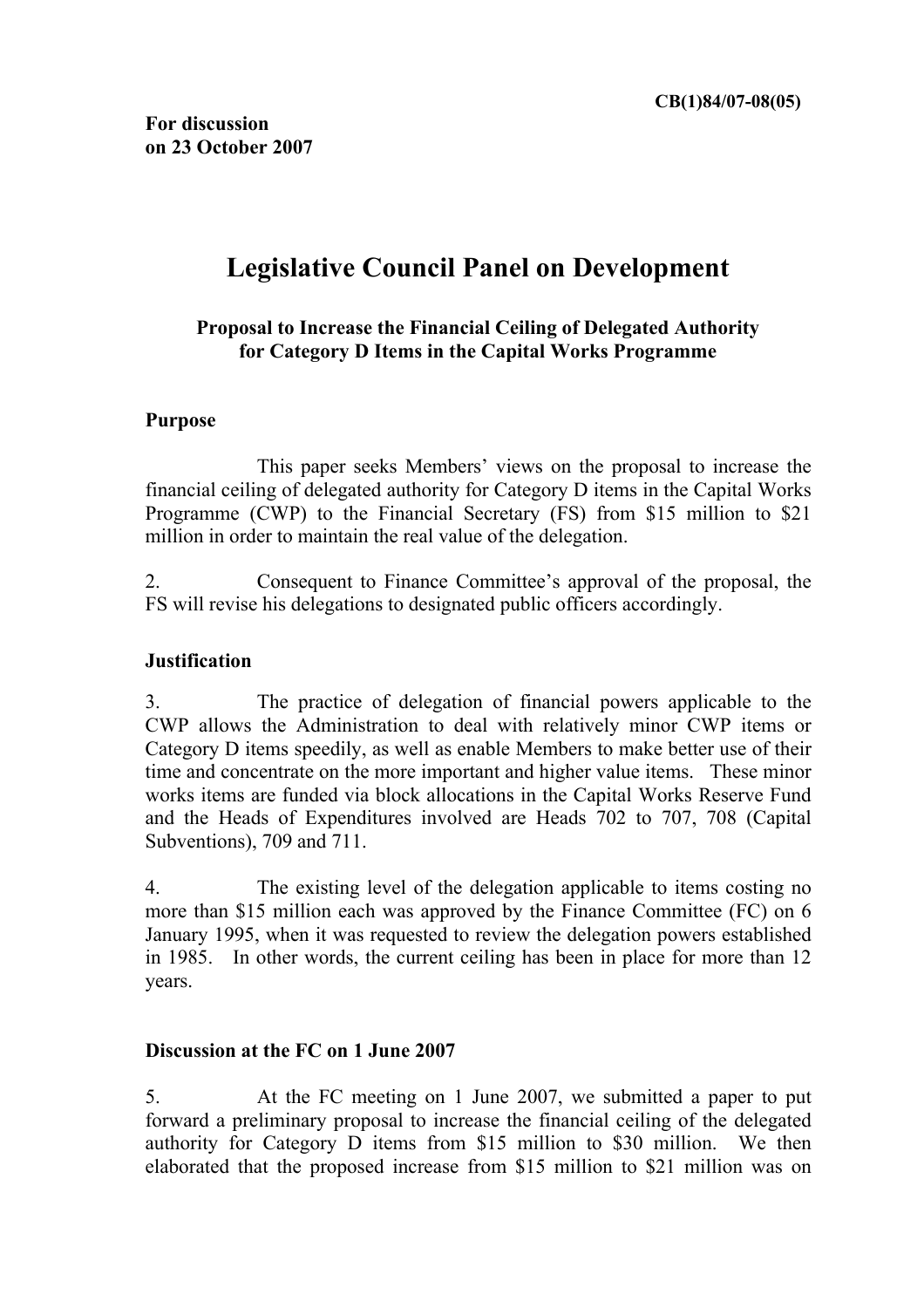# **Legislative Council Panel on Development**

## **Proposal to Increase the Financial Ceiling of Delegated Authority for Category D Items in the Capital Works Programme**

#### **Purpose**

 This paper seeks Members' views on the proposal to increase the financial ceiling of delegated authority for Category D items in the Capital Works Programme (CWP) to the Financial Secretary (FS) from \$15 million to \$21 million in order to maintain the real value of the delegation.

2. Consequent to Finance Committee's approval of the proposal, the FS will revise his delegations to designated public officers accordingly.

#### **Justification**

3. The practice of delegation of financial powers applicable to the CWP allows the Administration to deal with relatively minor CWP items or Category D items speedily, as well as enable Members to make better use of their time and concentrate on the more important and higher value items. These minor works items are funded via block allocations in the Capital Works Reserve Fund and the Heads of Expenditures involved are Heads 702 to 707, 708 (Capital Subventions), 709 and 711.

4. The existing level of the delegation applicable to items costing no more than \$15 million each was approved by the Finance Committee (FC) on 6 January 1995, when it was requested to review the delegation powers established in 1985. In other words, the current ceiling has been in place for more than 12 years.

#### **Discussion at the FC on 1 June 2007**

5. At the FC meeting on 1 June 2007, we submitted a paper to put forward a preliminary proposal to increase the financial ceiling of the delegated authority for Category D items from \$15 million to \$30 million. We then elaborated that the proposed increase from \$15 million to \$21 million was on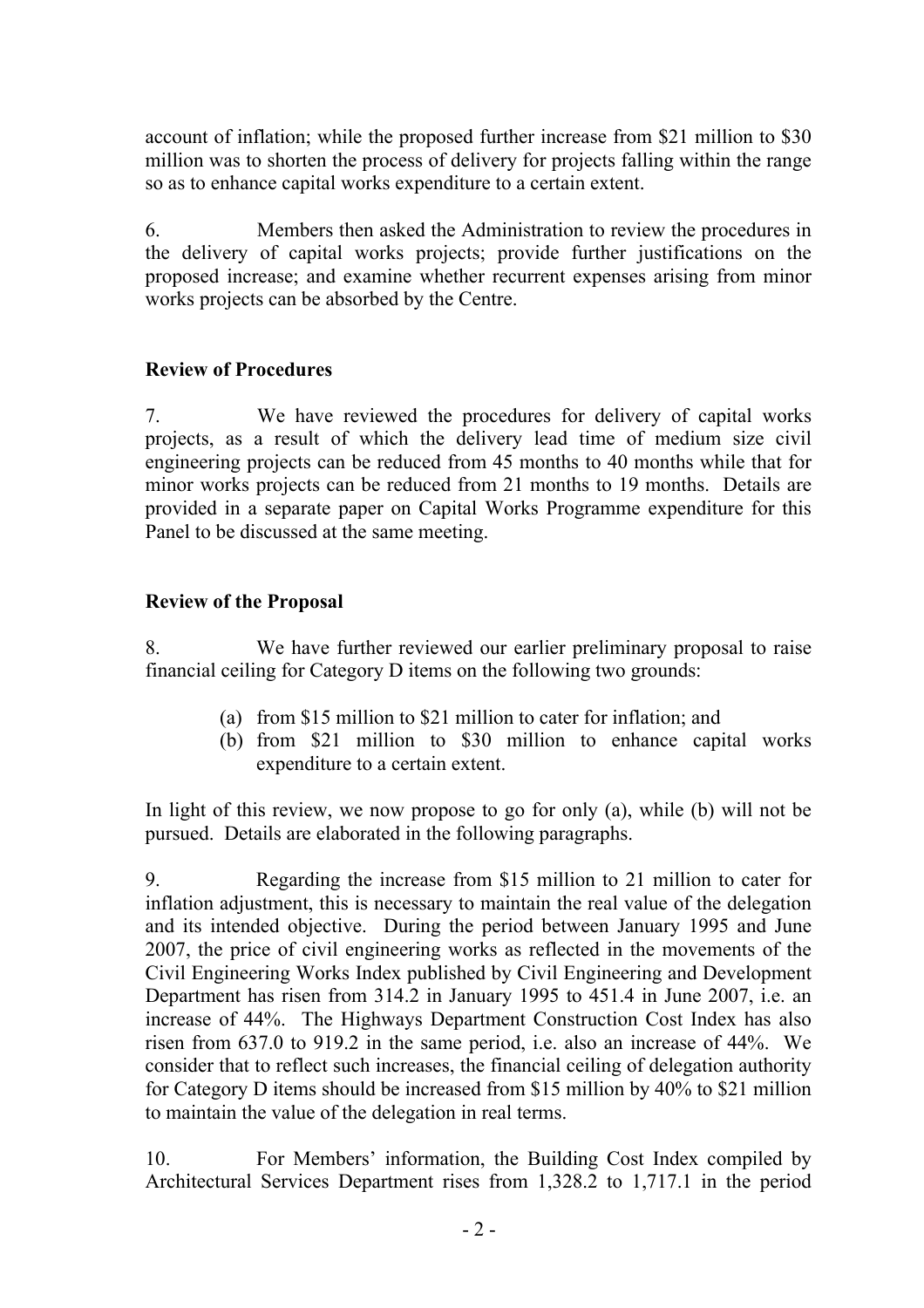account of inflation; while the proposed further increase from \$21 million to \$30 million was to shorten the process of delivery for projects falling within the range so as to enhance capital works expenditure to a certain extent.

6. Members then asked the Administration to review the procedures in the delivery of capital works projects; provide further justifications on the proposed increase; and examine whether recurrent expenses arising from minor works projects can be absorbed by the Centre.

## **Review of Procedures**

7. We have reviewed the procedures for delivery of capital works projects, as a result of which the delivery lead time of medium size civil engineering projects can be reduced from 45 months to 40 months while that for minor works projects can be reduced from 21 months to 19 months. Details are provided in a separate paper on Capital Works Programme expenditure for this Panel to be discussed at the same meeting.

## **Review of the Proposal**

8. We have further reviewed our earlier preliminary proposal to raise financial ceiling for Category D items on the following two grounds:

- (a) from \$15 million to \$21 million to cater for inflation; and
- (b) from \$21 million to \$30 million to enhance capital works expenditure to a certain extent.

In light of this review, we now propose to go for only (a), while (b) will not be pursued. Details are elaborated in the following paragraphs.

9. Regarding the increase from \$15 million to 21 million to cater for inflation adjustment, this is necessary to maintain the real value of the delegation and its intended objective. During the period between January 1995 and June 2007, the price of civil engineering works as reflected in the movements of the Civil Engineering Works Index published by Civil Engineering and Development Department has risen from 314.2 in January 1995 to 451.4 in June 2007, i.e. an increase of 44%. The Highways Department Construction Cost Index has also risen from 637.0 to 919.2 in the same period, i.e. also an increase of 44%. We consider that to reflect such increases, the financial ceiling of delegation authority for Category D items should be increased from \$15 million by 40% to \$21 million to maintain the value of the delegation in real terms.

10. For Members' information, the Building Cost Index compiled by Architectural Services Department rises from 1,328.2 to 1,717.1 in the period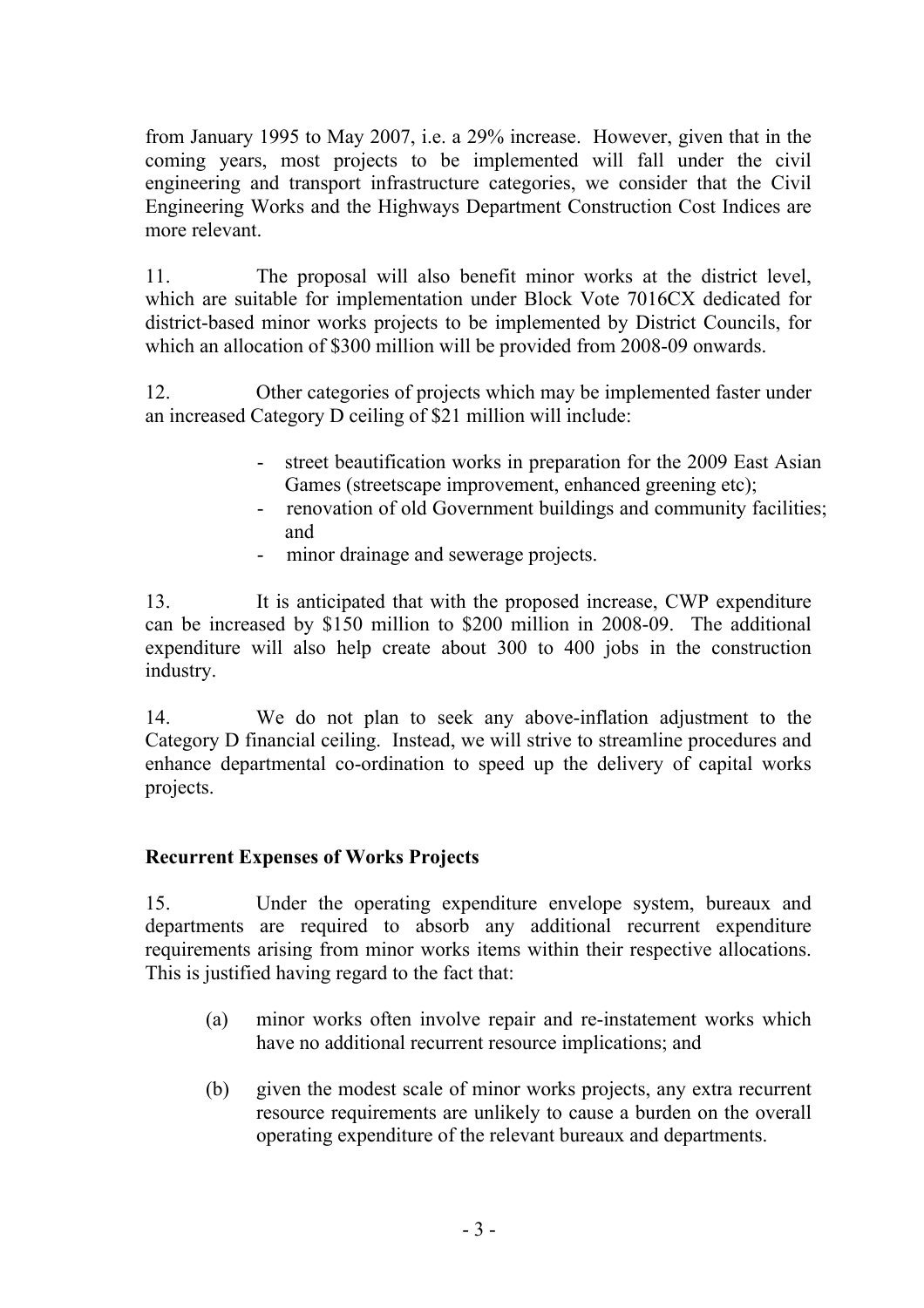from January 1995 to May 2007, i.e. a 29% increase. However, given that in the coming years, most projects to be implemented will fall under the civil engineering and transport infrastructure categories, we consider that the Civil Engineering Works and the Highways Department Construction Cost Indices are more relevant.

11. The proposal will also benefit minor works at the district level, which are suitable for implementation under Block Vote 7016CX dedicated for district-based minor works projects to be implemented by District Councils, for which an allocation of \$300 million will be provided from 2008-09 onwards.

12. Other categories of projects which may be implemented faster under an increased Category D ceiling of \$21 million will include:

- street beautification works in preparation for the 2009 East Asian Games (streetscape improvement, enhanced greening etc);
- renovation of old Government buildings and community facilities; and
- minor drainage and sewerage projects.

13. It is anticipated that with the proposed increase, CWP expenditure can be increased by \$150 million to \$200 million in 2008-09. The additional expenditure will also help create about 300 to 400 jobs in the construction industry.

14. We do not plan to seek any above-inflation adjustment to the Category D financial ceiling. Instead, we will strive to streamline procedures and enhance departmental co-ordination to speed up the delivery of capital works projects.

# **Recurrent Expenses of Works Projects**

15. Under the operating expenditure envelope system, bureaux and departments are required to absorb any additional recurrent expenditure requirements arising from minor works items within their respective allocations. This is justified having regard to the fact that:

- (a) minor works often involve repair and re-instatement works which have no additional recurrent resource implications; and
- (b) given the modest scale of minor works projects, any extra recurrent resource requirements are unlikely to cause a burden on the overall operating expenditure of the relevant bureaux and departments.